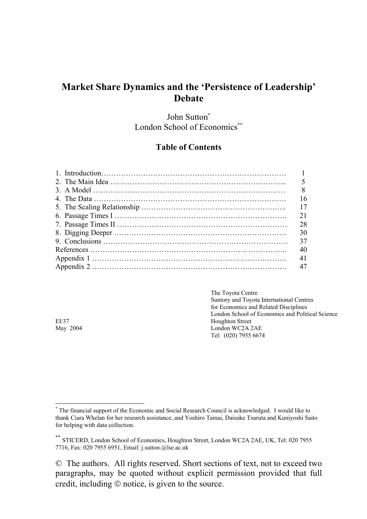# **Market Share Dynamics and the 'Persistence of Leadership' Debate**

John Sutton\* London School of Economics<sup>\*\*</sup>

### **Table of Contents**

| 16 |
|----|
| 17 |
| 21 |
| 28 |
| 30 |
| 37 |
| 40 |
| 41 |
| 47 |

The Toyota Centre Suntory and Toyota International Centres for Economics and Related Disciplines London School of Economics and Political Science EI/37 Houghton Street<br>May 2004 London WC2A 2 London WC2A 2AE Tel: (020) 7955 6674

<sup>\*</sup> The financial support of the Economic and Social Research Council is acknowledged. I would like to thank Ciara Whelan for her research assistance, and Yoshiro Tamai, Daisuke Tsuruta and Kuniyoshi Saito for helping with data collection.

<sup>\*\*</sup> STICERD, London School of Economics, Houghton Street, London WC2A 2AE, UK, Tel: 020 7955 7716, Fax: 020 7955 6951, Email: j.sutton.@lse.ac.uk

<sup>©</sup> The authors. All rights reserved. Short sections of text, not to exceed two paragraphs, may be quoted without explicit permission provided that full credit, including © notice, is given to the source.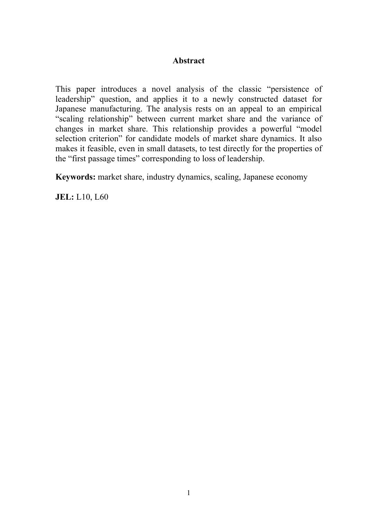### **Abstract**

This paper introduces a novel analysis of the classic "persistence of leadership" question, and applies it to a newly constructed dataset for Japanese manufacturing. The analysis rests on an appeal to an empirical "scaling relationship" between current market share and the variance of changes in market share. This relationship provides a powerful "model selection criterion" for candidate models of market share dynamics. It also makes it feasible, even in small datasets, to test directly for the properties of the "first passage times" corresponding to loss of leadership.

**Keywords:** market share, industry dynamics, scaling, Japanese economy

**JEL:** L10, L60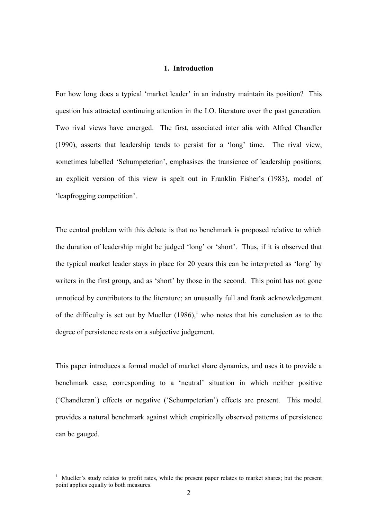#### **1. Introduction**

For how long does a typical 'market leader' in an industry maintain its position? This question has attracted continuing attention in the I.O. literature over the past generation. Two rival views have emerged. The first, associated inter alia with Alfred Chandler (1990), asserts that leadership tends to persist for a 'long' time. The rival view, sometimes labelled 'Schumpeterian', emphasises the transience of leadership positions; an explicit version of this view is spelt out in Franklin Fisher's (1983), model of 'leapfrogging competition'.

The central problem with this debate is that no benchmark is proposed relative to which the duration of leadership might be judged 'long' or 'short'. Thus, if it is observed that the typical market leader stays in place for 20 years this can be interpreted as 'long' by writers in the first group, and as 'short' by those in the second. This point has not gone unnoticed by contributors to the literature; an unusually full and frank acknowledgement of the difficulty is set out by Mueller  $(1986)$ ,<sup>1</sup> who notes that his conclusion as to the degree of persistence rests on a subjective judgement.

This paper introduces a formal model of market share dynamics, and uses it to provide a benchmark case, corresponding to a 'neutral' situation in which neither positive ('Chandleran') effects or negative ('Schumpeterian') effects are present. This model provides a natural benchmark against which empirically observed patterns of persistence can be gauged.

<sup>1</sup> Mueller's study relates to profit rates, while the present paper relates to market shares; but the present point applies equally to both measures.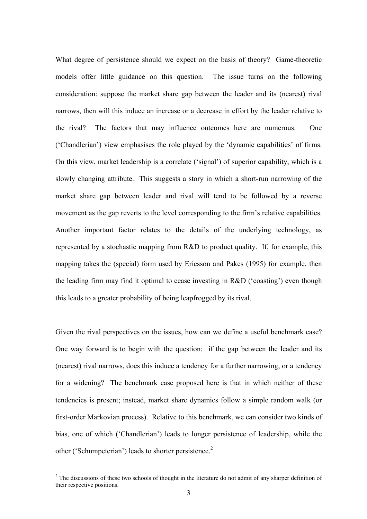What degree of persistence should we expect on the basis of theory? Game-theoretic models offer little guidance on this question. The issue turns on the following consideration: suppose the market share gap between the leader and its (nearest) rival narrows, then will this induce an increase or a decrease in effort by the leader relative to the rival? The factors that may influence outcomes here are numerous. One ('Chandlerian') view emphasises the role played by the 'dynamic capabilities' of firms. On this view, market leadership is a correlate ('signal') of superior capability, which is a slowly changing attribute. This suggests a story in which a short-run narrowing of the market share gap between leader and rival will tend to be followed by a reverse movement as the gap reverts to the level corresponding to the firm's relative capabilities. Another important factor relates to the details of the underlying technology, as represented by a stochastic mapping from R&D to product quality. If, for example, this mapping takes the (special) form used by Ericsson and Pakes (1995) for example, then the leading firm may find it optimal to cease investing in R&D ('coasting') even though this leads to a greater probability of being leapfrogged by its rival.

Given the rival perspectives on the issues, how can we define a useful benchmark case? One way forward is to begin with the question: if the gap between the leader and its (nearest) rival narrows, does this induce a tendency for a further narrowing, or a tendency for a widening? The benchmark case proposed here is that in which neither of these tendencies is present; instead, market share dynamics follow a simple random walk (or first-order Markovian process). Relative to this benchmark, we can consider two kinds of bias, one of which ('Chandlerian') leads to longer persistence of leadership, while the other ('Schumpeterian') leads to shorter persistence.<sup>2</sup>

 $2^2$  The discussions of these two schools of thought in the literature do not admit of any sharper definition of their respective positions.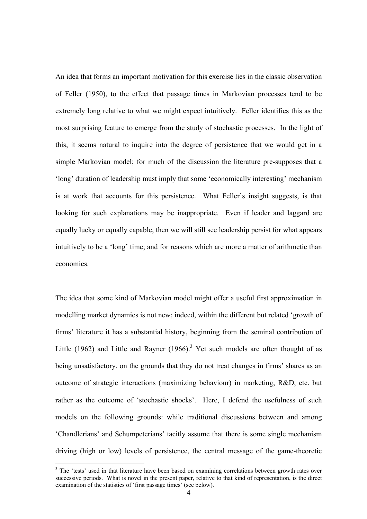An idea that forms an important motivation for this exercise lies in the classic observation of Feller (1950), to the effect that passage times in Markovian processes tend to be extremely long relative to what we might expect intuitively. Feller identifies this as the most surprising feature to emerge from the study of stochastic processes. In the light of this, it seems natural to inquire into the degree of persistence that we would get in a simple Markovian model; for much of the discussion the literature pre-supposes that a 'long' duration of leadership must imply that some 'economically interesting' mechanism is at work that accounts for this persistence. What Feller's insight suggests, is that looking for such explanations may be inappropriate. Even if leader and laggard are equally lucky or equally capable, then we will still see leadership persist for what appears intuitively to be a 'long' time; and for reasons which are more a matter of arithmetic than economics.

The idea that some kind of Markovian model might offer a useful first approximation in modelling market dynamics is not new; indeed, within the different but related 'growth of firms' literature it has a substantial history, beginning from the seminal contribution of Little (1962) and Little and Rayner (1966).<sup>3</sup> Yet such models are often thought of as being unsatisfactory, on the grounds that they do not treat changes in firms' shares as an outcome of strategic interactions (maximizing behaviour) in marketing, R&D, etc. but rather as the outcome of 'stochastic shocks'. Here, I defend the usefulness of such models on the following grounds: while traditional discussions between and among 'Chandlerians' and Schumpeterians' tacitly assume that there is some single mechanism driving (high or low) levels of persistence, the central message of the game-theoretic

<sup>&</sup>lt;sup>3</sup> The 'tests' used in that literature have been based on examining correlations between growth rates over successive periods. What is novel in the present paper, relative to that kind of representation, is the direct examination of the statistics of 'first passage times' (see below).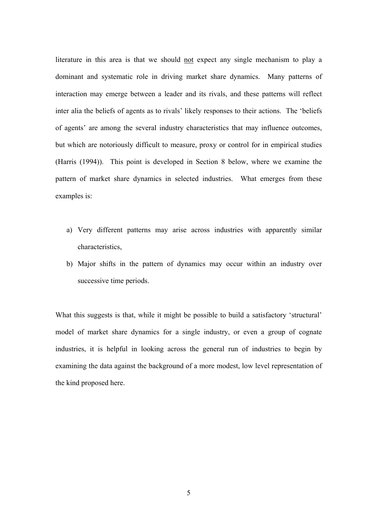literature in this area is that we should not expect any single mechanism to play a dominant and systematic role in driving market share dynamics. Many patterns of interaction may emerge between a leader and its rivals, and these patterns will reflect inter alia the beliefs of agents as to rivals' likely responses to their actions. The 'beliefs of agents' are among the several industry characteristics that may influence outcomes, but which are notoriously difficult to measure, proxy or control for in empirical studies (Harris (1994)). This point is developed in Section 8 below, where we examine the pattern of market share dynamics in selected industries. What emerges from these examples is:

- a) Very different patterns may arise across industries with apparently similar characteristics,
- b) Major shifts in the pattern of dynamics may occur within an industry over successive time periods.

What this suggests is that, while it might be possible to build a satisfactory 'structural' model of market share dynamics for a single industry, or even a group of cognate industries, it is helpful in looking across the general run of industries to begin by examining the data against the background of a more modest, low level representation of the kind proposed here.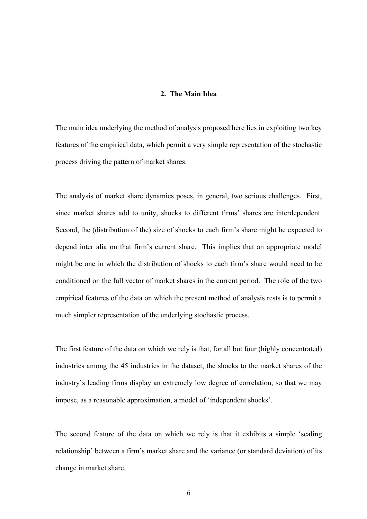#### **2. The Main Idea**

The main idea underlying the method of analysis proposed here lies in exploiting two key features of the empirical data, which permit a very simple representation of the stochastic process driving the pattern of market shares.

The analysis of market share dynamics poses, in general, two serious challenges. First, since market shares add to unity, shocks to different firms' shares are interdependent. Second, the (distribution of the) size of shocks to each firm's share might be expected to depend inter alia on that firm's current share. This implies that an appropriate model might be one in which the distribution of shocks to each firm's share would need to be conditioned on the full vector of market shares in the current period. The role of the two empirical features of the data on which the present method of analysis rests is to permit a much simpler representation of the underlying stochastic process.

The first feature of the data on which we rely is that, for all but four (highly concentrated) industries among the 45 industries in the dataset, the shocks to the market shares of the industry's leading firms display an extremely low degree of correlation, so that we may impose, as a reasonable approximation, a model of 'independent shocks'.

The second feature of the data on which we rely is that it exhibits a simple 'scaling relationship' between a firm's market share and the variance (or standard deviation) of its change in market share.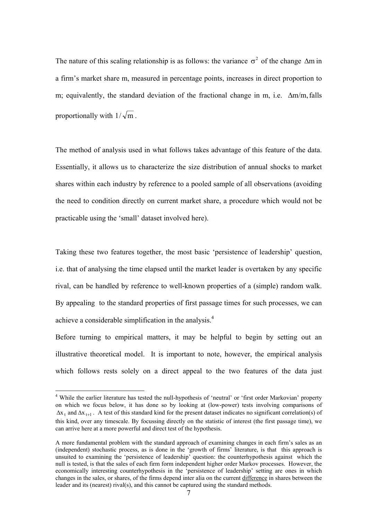The nature of this scaling relationship is as follows: the variance  $\sigma^2$  of the change  $\Delta m$  in a firm's market share m, measured in percentage points, increases in direct proportion to m; equivalently, the standard deviation of the fractional change in m, i.e.  $\Delta m/m$ , falls proportionally with  $1/\sqrt{m}$ .

The method of analysis used in what follows takes advantage of this feature of the data. Essentially, it allows us to characterize the size distribution of annual shocks to market shares within each industry by reference to a pooled sample of all observations (avoiding the need to condition directly on current market share, a procedure which would not be practicable using the 'small' dataset involved here).

Taking these two features together, the most basic 'persistence of leadership' question, i.e. that of analysing the time elapsed until the market leader is overtaken by any specific rival, can be handled by reference to well-known properties of a (simple) random walk. By appealing to the standard properties of first passage times for such processes, we can achieve a considerable simplification in the analysis.<sup>4</sup>

Before turning to empirical matters, it may be helpful to begin by setting out an illustrative theoretical model. It is important to note, however, the empirical analysis which follows rests solely on a direct appeal to the two features of the data just

<sup>&</sup>lt;sup>4</sup> While the earlier literature has tested the null-hypothesis of 'neutral' or 'first order Markovian' property on which we focus below, it has done so by looking at (low-power) tests involving comparisons of  $\Delta x_t$  and  $\Delta x_{t+1}$ . A test of this standard kind for the present dataset indicates no significant correlation(s) of this kind, over any timescale. By focussing directly on the statistic of interest (the first passage time), we can arrive here at a more powerful and direct test of the hypothesis.

A more fundamental problem with the standard approach of examining changes in each firm's sales as an (independent) stochastic process, as is done in the 'growth of firms' literature, is that this approach is unsuited to examining the 'persistence of leadership' question: the counterhypothesis against which the null is tested, is that the sales of each firm form independent higher order Markov processes. However, the economically interesting counterhypothesis in the 'persistence of leadership' setting are ones in which changes in the sales, or shares, of the firms depend inter alia on the current difference in shares between the leader and its (nearest) rival(s), and this cannot be captured using the standard methods.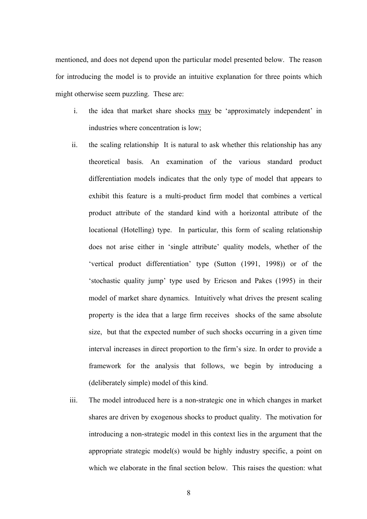mentioned, and does not depend upon the particular model presented below. The reason for introducing the model is to provide an intuitive explanation for three points which might otherwise seem puzzling. These are:

- i. the idea that market share shocks may be 'approximately independent' in industries where concentration is low;
- ii. the scaling relationship It is natural to ask whether this relationship has any theoretical basis. An examination of the various standard product differentiation models indicates that the only type of model that appears to exhibit this feature is a multi-product firm model that combines a vertical product attribute of the standard kind with a horizontal attribute of the locational (Hotelling) type. In particular, this form of scaling relationship does not arise either in 'single attribute' quality models, whether of the 'vertical product differentiation' type (Sutton (1991, 1998)) or of the 'stochastic quality jump' type used by Ericson and Pakes (1995) in their model of market share dynamics. Intuitively what drives the present scaling property is the idea that a large firm receives shocks of the same absolute size, but that the expected number of such shocks occurring in a given time interval increases in direct proportion to the firm's size. In order to provide a framework for the analysis that follows, we begin by introducing a (deliberately simple) model of this kind.
- iii. The model introduced here is a non-strategic one in which changes in market shares are driven by exogenous shocks to product quality. The motivation for introducing a non-strategic model in this context lies in the argument that the appropriate strategic model(s) would be highly industry specific, a point on which we elaborate in the final section below. This raises the question: what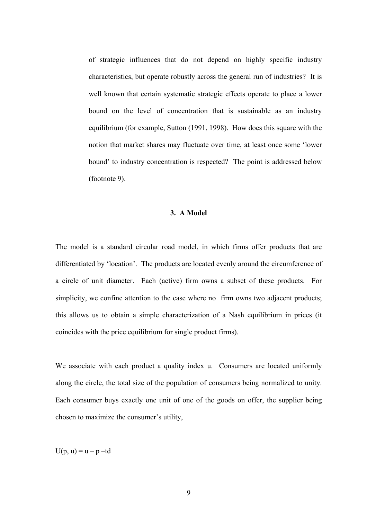of strategic influences that do not depend on highly specific industry characteristics, but operate robustly across the general run of industries? It is well known that certain systematic strategic effects operate to place a lower bound on the level of concentration that is sustainable as an industry equilibrium (for example, Sutton (1991, 1998). How does this square with the notion that market shares may fluctuate over time, at least once some 'lower bound' to industry concentration is respected? The point is addressed below (footnote 9).

#### **3. A Model**

The model is a standard circular road model, in which firms offer products that are differentiated by 'location'. The products are located evenly around the circumference of a circle of unit diameter. Each (active) firm owns a subset of these products. For simplicity, we confine attention to the case where no firm owns two adjacent products; this allows us to obtain a simple characterization of a Nash equilibrium in prices (it coincides with the price equilibrium for single product firms).

We associate with each product a quality index u. Consumers are located uniformly along the circle, the total size of the population of consumers being normalized to unity. Each consumer buys exactly one unit of one of the goods on offer, the supplier being chosen to maximize the consumer's utility,

 $U(p, u) = u - p - td$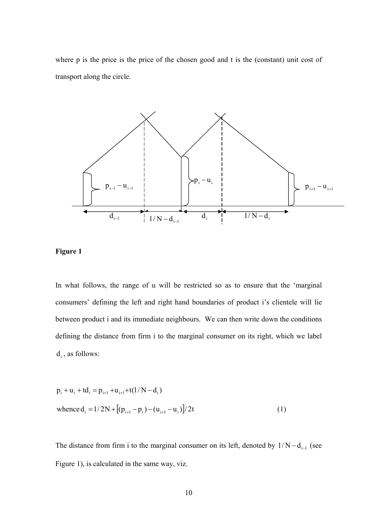where p is the price is the price of the chosen good and t is the (constant) unit cost of transport along the circle.





In what follows, the range of u will be restricted so as to ensure that the 'marginal consumers' defining the left and right hand boundaries of product i's clientele will lie between product i and its immediate neighbours. We can then write down the conditions defining the distance from firm i to the marginal consumer on its right, which we label  $d_i$ , as follows:

$$
p_{i} + u_{i} + td_{i} = p_{i+1} + u_{i+1} + t(1/N - d_{i})
$$
  
whence  $d_{i} = 1/2N + [(p_{i+1} - p_{i}) - (u_{i+1} - u_{i})]/2t$  (1)

The distance from firm i to the marginal consumer on its left, denoted by  $1/N - d_{i-1}$  (see Figure 1), is calculated in the same way, viz.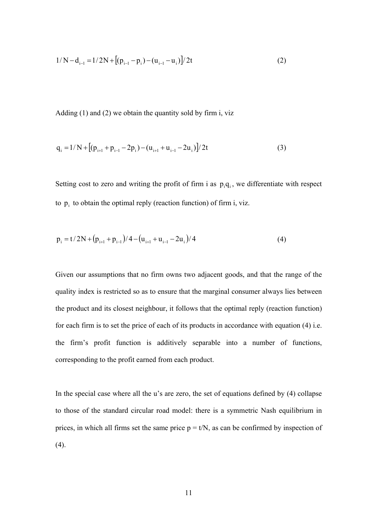$$
1/N - d_{i-1} = 1/2N + [(p_{i-1} - p_i) - (u_{i-1} - u_i)]/2t
$$
\n(2)

Adding (1) and (2) we obtain the quantity sold by firm i, viz

$$
q_{i} = 1/N + [(p_{i+1} + p_{i-1} - 2p_{i}) - (u_{i+1} + u_{i-1} - 2u_{i})]/2t
$$
\n(3)

Setting cost to zero and writing the profit of firm i as  $p_iq_i$ , we differentiate with respect to  $p_i$  to obtain the optimal reply (reaction function) of firm i, viz.

$$
p_{i} = t/2N + (p_{i+1} + p_{i-1})/4 - (u_{i+1} + u_{i-1} - 2u_{i})/4
$$
\n(4)

Given our assumptions that no firm owns two adjacent goods, and that the range of the quality index is restricted so as to ensure that the marginal consumer always lies between the product and its closest neighbour, it follows that the optimal reply (reaction function) for each firm is to set the price of each of its products in accordance with equation (4) i.e. the firm's profit function is additively separable into a number of functions, corresponding to the profit earned from each product.

In the special case where all the u's are zero, the set of equations defined by (4) collapse to those of the standard circular road model: there is a symmetric Nash equilibrium in prices, in which all firms set the same price  $p = t/N$ , as can be confirmed by inspection of (4).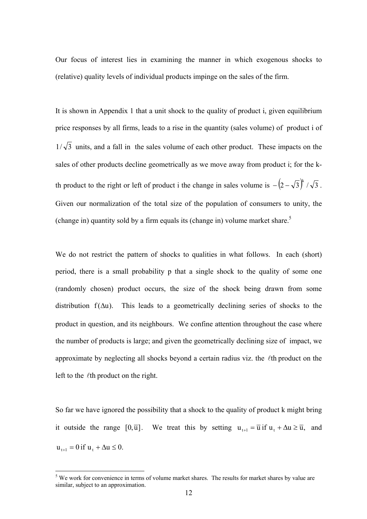Our focus of interest lies in examining the manner in which exogenous shocks to (relative) quality levels of individual products impinge on the sales of the firm.

It is shown in Appendix 1 that a unit shock to the quality of product i, given equilibrium price responses by all firms, leads to a rise in the quantity (sales volume) of product i of  $1/\sqrt{3}$  units, and a fall in the sales volume of each other product. These impacts on the sales of other products decline geometrically as we move away from product i; for the kth product to the right or left of product i the change in sales volume is  $-(2-\sqrt{3})^k / \sqrt{3}$ . Given our normalization of the total size of the population of consumers to unity, the (change in) quantity sold by a firm equals its (change in) volume market share.<sup>5</sup>

We do not restrict the pattern of shocks to qualities in what follows. In each (short) period, there is a small probability p that a single shock to the quality of some one (randomly chosen) product occurs, the size of the shock being drawn from some distribution  $f(\Delta u)$ . This leads to a geometrically declining series of shocks to the product in question, and its neighbours. We confine attention throughout the case where the number of products is large; and given the geometrically declining size of impact, we approximate by neglecting all shocks beyond a certain radius viz. the  $\ell$ th product on the left to the  $\ell$ th product on the right.

So far we have ignored the possibility that a shock to the quality of product k might bring it outside the range  $[0,\overline{u}]$ . We treat this by setting  $u_{t+1} = \overline{u}$  if  $u_t + \Delta u \ge \overline{u}$ , and  $u_{t+1} = 0$  if  $u_t + \Delta u \leq 0$ .

<sup>&</sup>lt;sup>5</sup> We work for convenience in terms of volume market shares. The results for market shares by value are similar, subject to an approximation.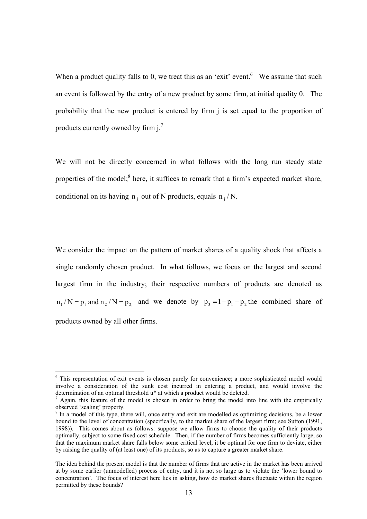When a product quality falls to 0, we treat this as an 'exit' event. We assume that such an event is followed by the entry of a new product by some firm, at initial quality 0. The probability that the new product is entered by firm j is set equal to the proportion of products currently owned by firm  $j^7$ 

We will not be directly concerned in what follows with the long run steady state properties of the model;<sup>8</sup> here, it suffices to remark that a firm's expected market share, conditional on its having  $n_i$  out of N products, equals  $n_i/N$ .

We consider the impact on the pattern of market shares of a quality shock that affects a single randomly chosen product. In what follows, we focus on the largest and second largest firm in the industry; their respective numbers of products are denoted as  $n_1/N = p_1$  and  $n_2/N = p_2$  and we denote by  $p_3 = 1 - p_1 - p_2$  the combined share of products owned by all other firms.

<sup>&</sup>lt;sup>6</sup> This representation of exit events is chosen purely for convenience; a more sophisticated model would involve a consideration of the sunk cost incurred in entering a product, and would involve the determination of an optimal threshold u<sup>\*</sup> at which a product would be deleted.

 $\alpha$  Again, this feature of the model is chosen in order to bring the model into line with the empirically observed 'scaling' property.

<sup>&</sup>lt;sup>8</sup> In a model of this type, there will, once entry and exit are modelled as optimizing decisions, be a lower bound to the level of concentration (specifically, to the market share of the largest firm; see Sutton (1991, 1998)). This comes about as follows: suppose we allow firms to choose the quality of their products optimally, subject to some fixed cost schedule. Then, if the number of firms becomes sufficiently large, so that the maximum market share falls below some critical level, it be optimal for one firm to deviate, either by raising the quality of (at least one) of its products, so as to capture a greater market share.

The idea behind the present model is that the number of firms that are active in the market has been arrived at by some earlier (unmodelled) process of entry, and it is not so large as to violate the 'lower bound to concentration'. The focus of interest here lies in asking, how do market shares fluctuate within the region permitted by these bounds?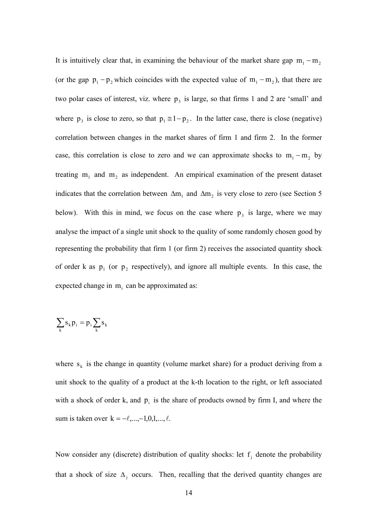It is intuitively clear that, in examining the behaviour of the market share gap  $m_1 - m_2$ (or the gap  $p_1 - p_2$  which coincides with the expected value of  $m_1 - m_2$ ), that there are two polar cases of interest, viz. where  $p_3$  is large, so that firms 1 and 2 are 'small' and where  $p_3$  is close to zero, so that  $p_1 \cong 1-p_2$ . In the latter case, there is close (negative) correlation between changes in the market shares of firm 1 and firm 2. In the former case, this correlation is close to zero and we can approximate shocks to  $m_1 - m_2$  by treating  $m_1$  and  $m_2$  as independent. An empirical examination of the present dataset indicates that the correlation between  $\Delta m_1$  and  $\Delta m_2$  is very close to zero (see Section 5 below). With this in mind, we focus on the case where  $p_3$  is large, where we may analyse the impact of a single unit shock to the quality of some randomly chosen good by representing the probability that firm 1 (or firm 2) receives the associated quantity shock of order k as  $p_1$  (or  $p_2$  respectively), and ignore all multiple events. In this case, the expected change in  $m<sub>i</sub>$  can be approximated as:

$$
\sum_k s_k p_i = p_i \sum_k s_k
$$

where  $s_k$  is the change in quantity (volume market share) for a product deriving from a unit shock to the quality of a product at the k-th location to the right, or left associated with a shock of order k, and  $p_i$  is the share of products owned by firm I, and where the sum is taken over  $k = -\ell, ..., -1, 0, 1, ..., \ell$ .

Now consider any (discrete) distribution of quality shocks: let  $f_i$  denote the probability that a shock of size  $\Delta_j$  occurs. Then, recalling that the derived quantity changes are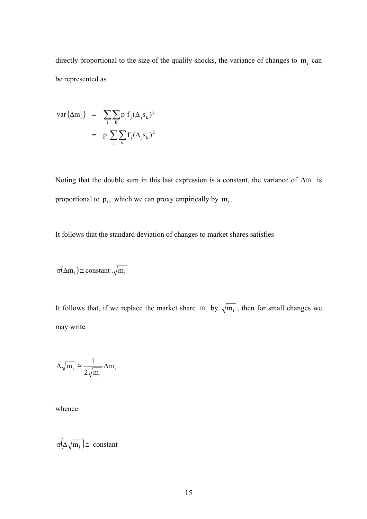directly proportional to the size of the quality shocks, the variance of changes to  $m<sub>i</sub>$  can be represented as

$$
var(\Delta m_i) = \sum_{j} \sum_{k} p_i f_j (\Delta_j s_k)^2
$$

$$
= p_i \sum_{j} \sum_{k} f_j (\Delta_j s_k)^2
$$

Noting that the double sum in this last expression is a constant, the variance of  $\Delta m_i$  is proportional to  $p_i$ , which we can proxy empirically by  $m_i$ .

It follows that the standard deviation of changes to market shares satisfies

$$
\sigma(\Delta m_i) \cong constant . \sqrt{m_i}
$$

It follows that, if we replace the market share  $m_i$  by  $\sqrt{m_i}$ , then for small changes we may write

$$
\Delta \sqrt{m_{_i}} \cong \frac{1}{2 \sqrt{m_{_i}}} \Delta m_{_i}
$$

whence

σ $(\Delta \sqrt{m_i})$  = constant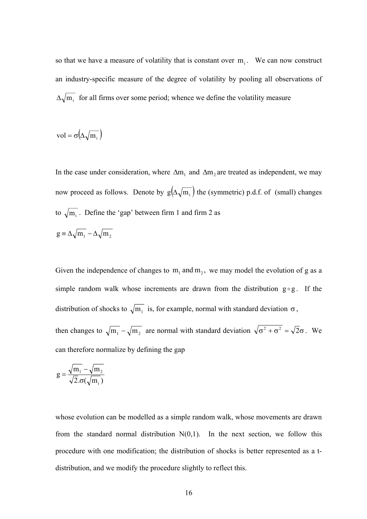so that we have a measure of volatility that is constant over  $m_i$ . We can now construct an industry-specific measure of the degree of volatility by pooling all observations of  $\Delta \sqrt{m_i}$  for all firms over some period; whence we define the volatility measure

$$
vol = \sigma(\Delta \sqrt{m_i})
$$

In the case under consideration, where  $\Delta m_1$  and  $\Delta m_2$  are treated as independent, we may now proceed as follows. Denote by  $g(\Delta \sqrt{m_i})$  the (symmetric) p.d.f. of (small) changes to  $\sqrt{m_i}$ . Define the 'gap' between firm 1 and firm 2 as  $g = \Delta \sqrt{m_1} - \Delta \sqrt{m_2}$ 

Given the independence of changes to  $m_1$  and  $m_2$ , we may model the evolution of g as a simple random walk whose increments are drawn from the distribution  $g \circ g$ . If the distribution of shocks to  $\sqrt{m_1}$  is, for example, normal with standard deviation  $\sigma$ , then changes to  $\sqrt{m_1} - \sqrt{m_2}$  are normal with standard deviation  $\sqrt{\sigma^2 + \sigma^2} = \sqrt{2}\sigma$ . We can therefore normalize by defining the gap

$$
g = \frac{\sqrt{m_1} - \sqrt{m_2}}{\sqrt{2} \cdot \sigma(\sqrt{m_i})}
$$

whose evolution can be modelled as a simple random walk, whose movements are drawn from the standard normal distribution  $N(0,1)$ . In the next section, we follow this procedure with one modification; the distribution of shocks is better represented as a tdistribution, and we modify the procedure slightly to reflect this.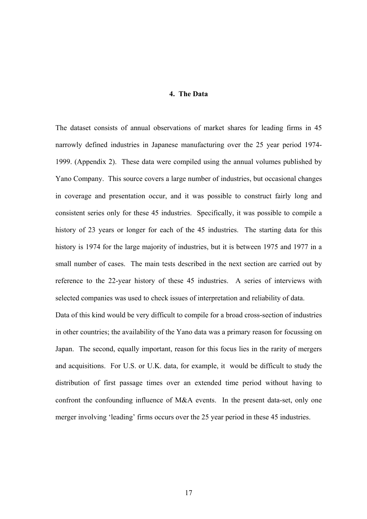#### **4. The Data**

reference to the 22-year history of these 45 industries. A series of interviews with The dataset consists of annual observations of market shares for leading firms in 45 narrowly defined industries in Japanese manufacturing over the 25 year period 1974- 1999. (Appendix 2). These data were compiled using the annual volumes published by Yano Company. This source covers a large number of industries, but occasional changes in coverage and presentation occur, and it was possible to construct fairly long and consistent series only for these 45 industries. Specifically, it was possible to compile a history of 23 years or longer for each of the 45 industries. The starting data for this history is 1974 for the large majority of industries, but it is between 1975 and 1977 in a small number of cases. The main tests described in the next section are carried out by selected companies was used to check issues of interpretation and reliability of data.

confront the confounding influence of M&A events. In the present data-set, only one merger involving 'leading' firms occurs over the 25 year period in these 45 industries. Data of this kind would be very difficult to compile for a broad cross-section of industries in other countries; the availability of the Yano data was a primary reason for focussing on Japan. The second, equally important, reason for this focus lies in the rarity of mergers and acquisitions. For U.S. or U.K. data, for example, it would be difficult to study the distribution of first passage times over an extended time period without having to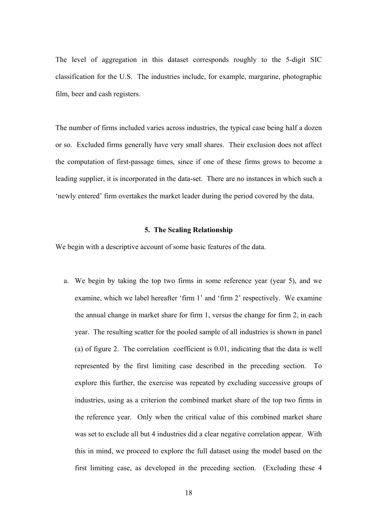The level of aggregation in this dataset corresponds roughly to the 5-digit SIC classification for the U.S. The industries include, for example, margarine, photographic film, beer and cash registers.

or so. Excluded firms generally have very small shares. Their exclusion does not affect the computation of first-passage times, since if one of these firms grows to become a leading supplier, it is incorporated in the data-set. There are no instances in which such a 'newly entered' firm overtakes the market leader during the period covered by the data. The number of firms included varies across industries, the typical case being half a dozen

#### **5. The Scaling Relationship**

We be gin with a descriptive account of some basic features of the data.

a. We begin by taking the top two firms in some reference year (year 5), and we this in mind, we proceed to explore the full dataset using the model based on the first limiting case, as developed in the preceding section. (Excluding these 4 examine, which we label hereafter 'firm 1' and 'firm 2' respectively. We examine the annual change in market share for firm 1, versus the change for firm 2, in each year. The resulting scatter for the pooled sample of all industries is shown in panel (a) of figure 2. The correlation coefficient is 0.01, indicating that the data is well represented by the first limiting case described in the preceding section. To explore this further, the exercise was repeated by excluding successive groups of industries, using as a criterion the combined market share of the top two firms in the reference year. Only when the critical value of this combined market share was set to exclude all but 4 industries did a clear negative correlation appear. With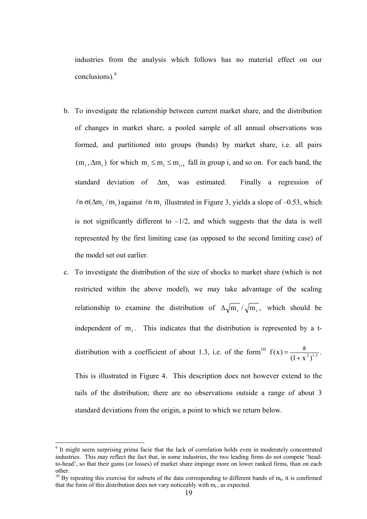industries from the analysis which follows has no material effect on our conclusions).<sup>9</sup>

- b. To investigate the relationship between current market share, and the distribution of changes in market share, a pooled sample of all annual observations was  $(m_t, \Delta m_t)$  for which  $m_i \le m_t \le m_{i+1}$  fall in group i, and so on. For each band, the formed, and partitioned into groups (bands) by market share, i.e. all pairs standard deviation of  $\Delta m$ , was estimated. Finally a regression of  $\ln \sigma(\Delta m, m)$  against  $\ln m$ , illustrated in Figure 3, yields a slope of –0.53, which is not significantly different to  $-\frac{1}{2}$ , and which suggests that the data is well represented by the first limiting case (as opposed to the second limiting case) of the model set out earlier.
- c. To investigate the distribution of the size of shocks to market share (which is not relationship to examine the distribution of  $\Delta \sqrt{m_t}/\sqrt{m_t}$ , which should be restricted within the above model), we may take advantage of the scaling independent of  $m_t$ . This indicates that the distribution is represented by a tdistribution with a coefficient of about 1.3, i.e. of the form<sup>10</sup>  $f(x) = \frac{a}{(1 + x^2)^{1.3}}$ + This is illustrated in Figure 4. This description does not however e xtend to the  $f(x) = \frac{a}{(x-2)^{13}}$ . tails of the distribution; there are no observations outside a range of about 3 standard deviations from the origin, a point to which we return below.

<sup>&</sup>lt;sup>9</sup> It might seem surprising prima facie that the lack of correlation holds even in moderately concentrated industries. This may reflect the fact that, in some industries, the two leading firms do not compete 'headto-head', so that their gains (or losses) of market share impinge more on lower ranked firms, than on each other.<br><sup>10</sup> By repeating this exercise for subsets of the data corresponding to different bands of m<sub>t</sub>, it is confirmed

that the form of this distribution does not vary noticeably with  $m_t$ , as expected.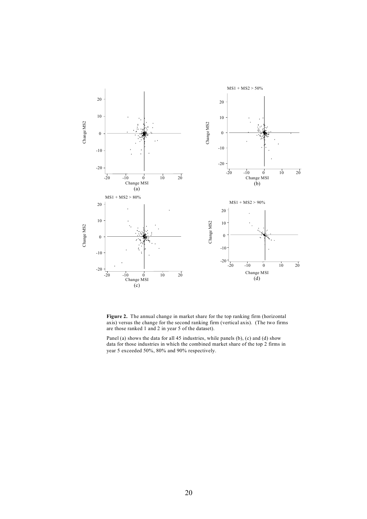

**Figure 2.** The annual change in market share for the top ranking firm (horizontal axis) versus the change for the second ranking firm (vertical axis). (The two firms are those ranked 1 and 2 in year 5 of the dataset).

Panel (a) shows the data for all 45 industries, while panels (b), (c) and (d) show data for those industries in which the combined market share of the top 2 firms in year 5 exceeded 50%, 80% and 90% respectively.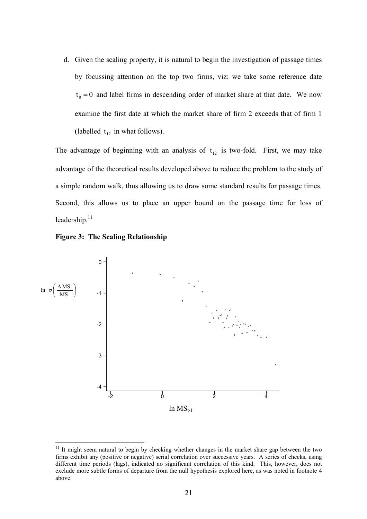d. Given the scaling property, it is natural to begin the investigation of passage times (labelled  $t_{12}$  in what follows). by focussing attention on the top two firms, viz: we take some reference date  $t_0 = 0$  and label firms in descending order of market share at that date. We now examine the first date at which the market share of firm 2 exceeds that of firm 1

The advantage of beginning with an analysis of  $t_{12}$  is two-fold. First, we may take advantage of the theoretical results developed above to reduce the problem to the study of a simple random walk, thus allowing us to draw some standard results for passage times. Second, this allows us to place an upper bound on the passage time for loss of leadership. $11$ 





 $11$  It might seem natural to begin by checking whether changes in the market share gap between the two firms exhibit any (positive or negative) serial correlation over successive years. A series of checks, using different time periods (lags), indicated no significant correlation of this kind. This, however, does not exclude more subtle forms of departure from the null hypothesis explored here, as was noted in footnote 4 above.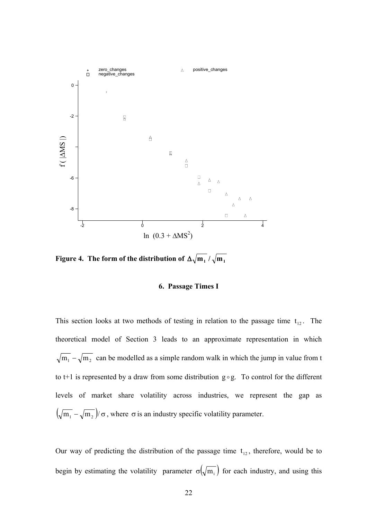

**Figure 4.** The form of the distribution of  $\Delta \sqrt{\mathbf{m}_1}/\sqrt{\mathbf{m}_1}$ 

#### **6. Passage Times I**

This section looks at two methods of testing in relation to the passage time  $t_{12}$ . The theoretical model of Section 3 leads to an approximate representation in which  $\sqrt{m_1} - \sqrt{m_2}$  can be modelled as a simple random walk in which the jump in value from t to t+1 is represented by a draw from some distribution  $g \circ g$ . To control for the different levels of market share volatility across industries, we represent the gap as  $(\sqrt{m_1} - \sqrt{m_2})/\sigma$ , where  $\sigma$  is an industry specific volatility parameter.

Our way of predicting the distribution of the passage time  $t_{12}$ , therefore, would be to begin by estimating the volatility parameter  $\sigma(\sqrt{m_i})$  for each industry, and using this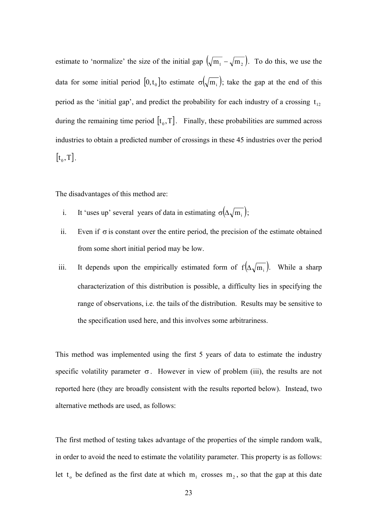estimate to 'normalize' the size of the initial gap  $(\sqrt{m_1} - \sqrt{m_2})$ . To do this, we use the data for some initial period  $[0, t_0]$  to estimate  $\sigma(\sqrt{m_i})$ ; take the gap at the end of this period as the 'initial gap', and predict the probability for each industry of a crossing  $t_{12}$ during the remaining time period  $[t_0, T]$ . Finally, these probabilities are summed across industries to obtain a predicted number of crossings in these 45 industries over the period  $[t_0, T]$ .

The disadvantages of this method are:

- i. It 'uses up' several years of data in estimating  $\sigma(\Delta \sqrt{m_i})$ ;
- ii. Even if  $\sigma$  is constant over the entire period, the precision of the estimate obtained from some short initial period may be low.
- iii. It depends upon the empirically estimated form of  $f(\Delta \sqrt{m_i})$ . While a sharp characterization of this distribution is possible, a difficulty lies in specifying the range of observations, i.e. the tails of the distribution. Results may be sensitive to the specification used here, and this involves some arbitrariness.

This method was implemented using the first 5 years of data to estimate the industry specific volatility parameter  $\sigma$ . However in view of problem (iii), the results are not reported here (they are broadly consistent with the results reported below). Instead, two alternative methods are used, as follows:

The first method of testing takes advantage of the properties of the simple random walk, in order to avoid the need to estimate the volatility parameter. This property is as follows: let  $t_0$  be defined as the first date at which  $m_1$  crosses  $m_2$ , so that the gap at this date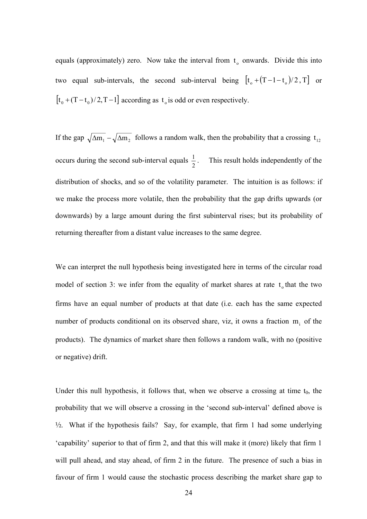equals (approximately) zero. Now take the interval from  $t<sub>o</sub>$  onwards. Divide this into two equal sub-intervals, the second sub-interval being  $[t_o + (T - 1 - t_o)/2, T]$  or  $[t_0 + (T - t_0)/2, T - 1]$  according as  $t_0$  is odd or even respectively.

If the gap  $\sqrt{\Delta m_1} - \sqrt{\Delta m_2}$  follows a random walk, then the probability that a crossing t<sub>12</sub> occurs during the second sub-interval equals  $\frac{1}{2}$ . This result holds independently of the distribution of shocks, and so of the volatility parameter. The intuition is as follows: if we make the process more volatile, then the probability that the gap drifts upwards (or downwards) by a large amount during the first subinterval rises; but its probability of returning thereafter from a distant value increases to the same degree.

We can interpret the null hypothesis being investigated here in terms of the circular road model of section 3: we infer from the equality of market shares at rate  $t_0$  that the two firms have an equal number of products at that date (i.e. each has the same expected number of products conditional on its observed share, viz, it owns a fraction  $m<sub>i</sub>$  of the products). The dynamics of market share then follows a random walk, with no (positive or negative) drift.

probability that we will observe a crossing in the 'second sub-interval' defined above is ½. What if the hypothesis fails? Say, for example, that firm 1 had some underlying favour of firm 1 would cause the stochastic process describing the market share gap to Under this null hypothesis, it follows that, when we observe a crossing at time  $t_0$ , the 'capability' superior to that of firm 2, and that this will make it (more) likely that firm 1 will pull ahead, and stay ahead, of firm 2 in the future. The presence of such a bias in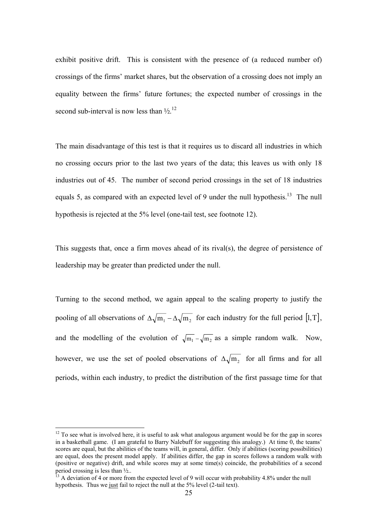exhibit positive drift. This is consistent with the presence of (a reduced number of) equality between the firms' future fortunes; the expected number of crossings in the second sub-interval is now less than  $\frac{1}{2}$ .<sup>12</sup> crossings of the firms' market shares, but the observation of a crossing does not imply an

The main disadvantage of this test is that it requires us to discard all industries in which industries out of 45. The number of second period crossings in the set of 18 industries equals 5, as compared with an expected level of 9 under the null hypothesis.<sup>13</sup> The null hypothesis is rejected at the 5% level (one-tail test, see footnote 12). no crossing occurs prior to the last two years of the data; this leaves us with only 18

This suggests that, once a firm moves ahead of its rival(s), the degree of persistence of leadership may be greater than predicted under the null.

Turning to the second method, we again appeal to the scaling property to justify the pooling of all observations of  $\Delta \sqrt{m_1 - \Delta} \sqrt{m_2}$  for each industry for the full period [1, T], and the modelling of the evolution of  $\sqrt{m_1} - \sqrt{m_2}$  as a simple random walk. Now, however, we use the set of pooled observations of  $\Delta \sqrt{m_2}$  for all firms and for all periods, within each industry, to predict the distribution of the first passage time for that

 $12$  To see what is involved here, it is useful to ask what analogous argument would be for the gap in scores in a basketball game. (I am grateful to Barry Nalebuff for suggesting this analogy.) At time 0, the teams' scores are equal, but the abilities of the teams will, in general, differ. Only if abilities (scoring possibilities) are equal, does the present model apply. If abilities differ, the gap in scores follows a random walk with (positive or negative) drift, and while scores may at some time(s) coincide, the probabilities of a second period crossing is less than  $\frac{1}{2}$ ..<br><sup>13</sup> A deviation of 4 or more from the expected level of 9 will occur with probability 4.8% under the null

hypothesis. Thus we just fail to reject the null at the 5% level (2-tail text).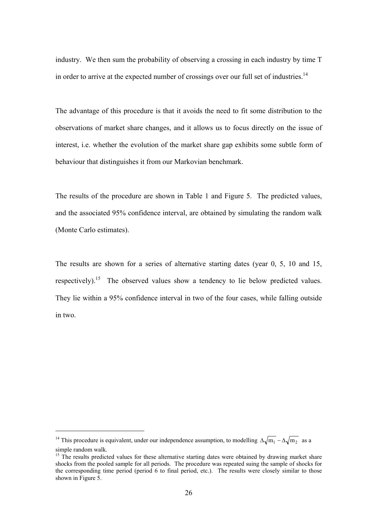industry. We then sum the probability of observing a crossing in each industry by time T in order to arrive at the expected number of crossings over our full set of industries.<sup>14</sup>

The advantage of this procedure is that it avoids the need to fit some distribution to the observations of market share changes, and it allows us to focus directly on the issue of interest, i.e. whether the evolution of the market share gap exhibits some subtle form of behaviour that distinguishes it from our Markovian benchmark.

The results of the procedure are shown in Table 1 and Figure 5. The predicted values, and the associated 95% confidence interval, are obtained by simulating the random walk (Monte Carlo estimates).

The results are shown for a series of alternative starting dates (year 0, 5, 10 and 15, respectively).<sup>15</sup> The observed values show a tendency to lie below predicted values. They lie within a 95% confidence interval in two of the four cases, while falling outside in two.

<sup>&</sup>lt;sup>14</sup> This procedure is equivalent, under our independence assumption, to modelling  $\Delta \sqrt{m_1} - \Delta \sqrt{m_2}$  as a simple random walk.<br><sup>15</sup> The results predicted values for these alternative starting dates were obtained by drawing market share

shocks from the pooled sample for all periods. The procedure was repeated suing the sample of shocks for the corresponding time period (period 6 to final period, etc.). The results were closely similar to those shown in Figure 5.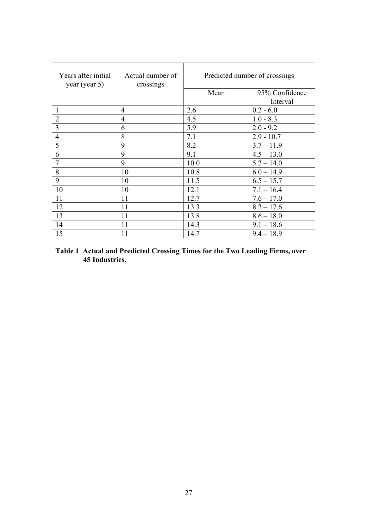| Years after initial<br>year (year 5) | Actual number of<br>crossings | Predicted number of crossings |                |
|--------------------------------------|-------------------------------|-------------------------------|----------------|
|                                      |                               | Mean                          | 95% Confidence |
|                                      |                               |                               | Interval       |
| $\mathbf{1}$                         | 4                             | 2.6                           | $0.2 - 6.0$    |
| $\overline{2}$                       | $\overline{4}$                | 4.5                           | $1.0 - 8.3$    |
| 3                                    | 6                             | 5.9                           | $2.0 - 9.2$    |
| $\overline{4}$                       | 8                             | 7.1                           | $2.9 - 10.7$   |
| 5                                    | 9                             | 8.2                           | $3.7 - 11.9$   |
| 6                                    | 9                             | 9.1                           | $4.5 - 13.0$   |
| $\overline{7}$                       | 9                             | 10.0                          | $5.2 - 14.0$   |
| 8                                    | 10                            | 10.8                          | $6.0 - 14.9$   |
| 9                                    | 10                            | 11.5                          | $6.5 - 15.7$   |
| 10                                   | 10                            | 12.1                          | $7.1 - 16.4$   |
| 11                                   | 11                            | 12.7                          | $7.6 - 17.0$   |
| 12                                   | 11                            | 13.3                          | $8.2 - 17.6$   |
| 13                                   | 11                            | 13.8                          | $8.6 - 18.0$   |
| 14                                   | 11                            | 14.3                          | $9.1 - 18.6$   |
| 15                                   | 11                            | 14.7                          | $9.4 - 18.9$   |

#### **Table 1 Actual and Predicted Crossing Times for the Two Leading Firms, over 45 Industries.**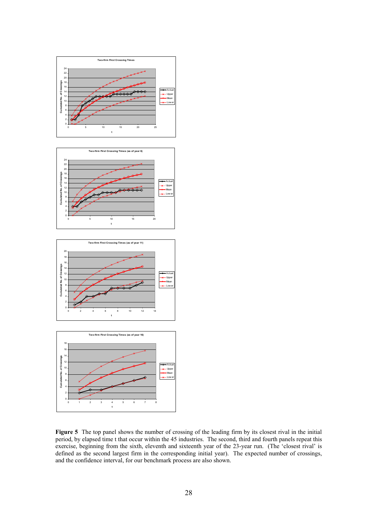







**Figure 5** The top panel shows the number of crossing of the leading firm by its closest rival in the initial period, by elapsed time t that occur within the 45 industries. The second, third and fourth panels repeat this exercise, beginning from the sixth, eleventh and sixteenth year of the 23-year run. (The 'closest rival' is defined as the second largest firm in the corresponding initial year). The expected number of crossings, and the confidence interval, for our benchmark process are also shown.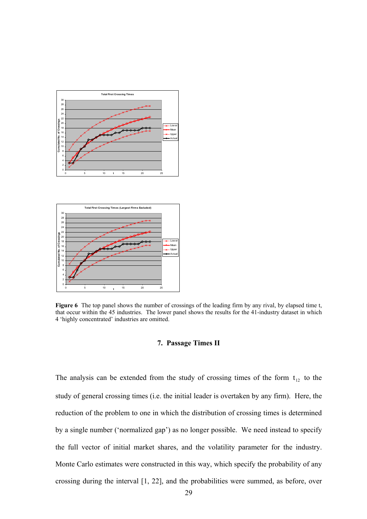



**Figure 6** The top panel shows the number of crossings of the leading firm by any rival, by elapsed time t, that occur within the 45 industries. The lower panel shows the results for the 41-industry dataset in which 4 'highly concentrated' industries are omitted.

#### **7. Passage Times II**

The analysis can be extended from the study of crossing times of the form  $t_{12}$  to the study of general crossing times (i.e. the initial leader is overtaken by any firm). Here, the reduction of the problem to one in which the distribution of crossing times is determined by a single number ('normalized gap') as no longer possible. We need instead to specify the full vector of initial market shares, and the volatility parameter for the industry. Monte Carlo estimates were constructed in this way, which specify the probability of any crossing during the interval [1, 22], and the probabilities were summed, as before, over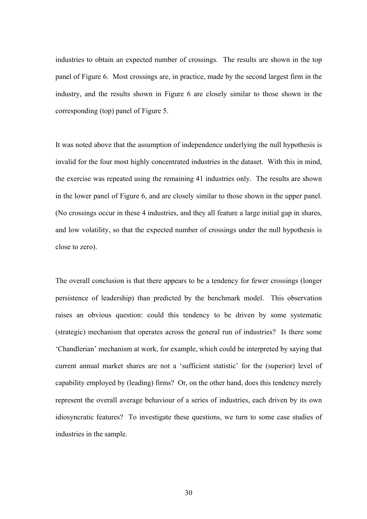industries to obtain an expected number of crossings. The results are shown in the top panel of Figure 6. Most crossings are, in practice, made by the second largest firm in the industry, and the results shown in Figure 6 are closely similar to those shown in the corresponding (top) panel of Figure 5.

It was noted above that the assumption of independence underlying the null hypothesis is invalid for the four most highly concentrated industries in the dataset. With this in mind, the exercise was repeated using the remaining 41 industries only. The results are shown in the lower panel of Figure 6, and are closely similar to those shown in the upper panel. (No crossings occur in these 4 industries, and they all feature a large initial gap in shares, and low volatility, so that the expected number of crossings under the null hypothesis is close to zero).

The overall conclusion is that there appears to be a tendency for fewer crossings (longer persistence of leadership) than predicted by the benchmark model. This observation raises an obvious question: could this tendency to be driven by some systematic (strategic) mechanism that operates across the general run of industries? Is there some 'Chandlerian' mechanism at work, for example, which could be interpreted by saying that current annual market shares are not a 'sufficient statistic' for the (superior) level of capability employed by (leading) firms? Or, on the other hand, does this tendency merely represent the overall average behaviour of a series of industries, each driven by its own idiosyncratic features? To investigate these questions, we turn to some case studies of industries in the sample.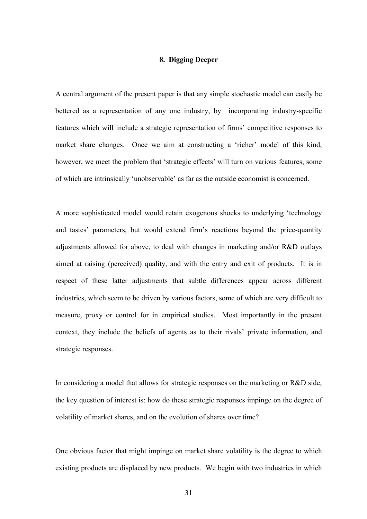#### **8. Digging Deeper**

A central argument of the present paper is that any simple stochastic model can easily be bettered as a representation of any one industry, by incorporating industry-specific features which will include a strategic representation of firms' competitive responses to market share changes. Once we aim at constructing a 'richer' model of this kind, however, we meet the problem that 'strategic effects' will turn on various features, some of which are intrinsically 'unobservable' as far as the outside economist is concerned.

A more sophisticated model would retain exogenous shocks to underlying 'technology and tastes' parameters, but would extend firm's reactions beyond the price-quantity adjustments allowed for above, to deal with changes in marketing and/or R&D outlays aimed at raising (perceived) quality, and with the entry and exit of products. It is in respect of these latter adjustments that subtle differences appear across different industries, which seem to be driven by various factors, some of which are very difficult to measure, proxy or control for in empirical studies. Most importantly in the present context, they include the beliefs of agents as to their rivals' private information, and strategic responses.

In considering a model that allows for strategic responses on the marketing or R&D side, the key question of interest is: how do these strategic responses impinge on the degree of volatility of market shares, and on the evolution of shares over time?

One obvious factor that might impinge on market share volatility is the degree to which existing products are displaced by new products. We begin with two industries in which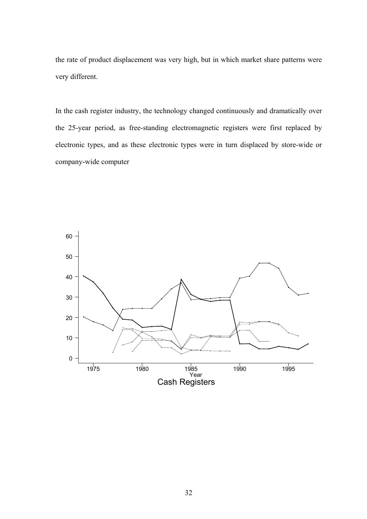the rate of product displacement was very high, but in which market share patterns were very different.

In the cash register industry, the technology changed continuously and dramatically over the 25-year period, as free-standing electromagnetic registers were first replaced by electronic types, and as these electronic types were in turn displaced by store-wide or company-wide computer

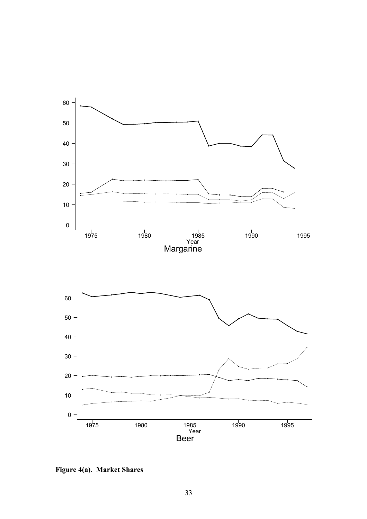

**igure** 4(a). Market Shares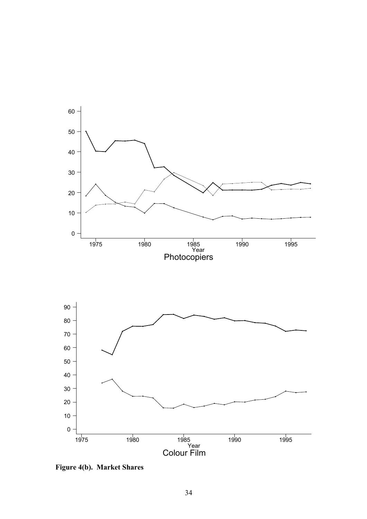

**Figure 4(b). Market Shares**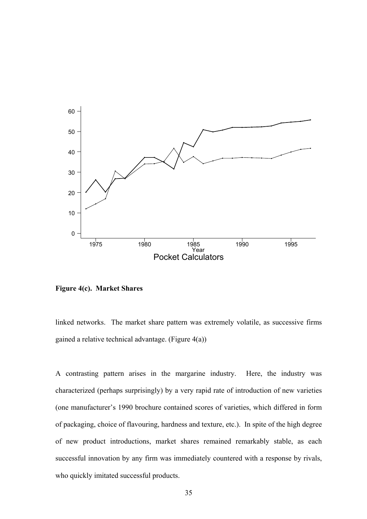

**Figure 4(c). Market Shares** 

linked networks. The market share pattern was extremely volatile, as successive firms gained a relative technical advantage. (Figure 4(a))

A contrasting pattern arises in the margarine industry. Here, the industry was characterized (perhaps surprisingly) by a very rapid rate of introduction of new varieties (one manufacturer's 1990 brochure contained scores of varieties, which differed in form of packaging, choice of flavouring, hardness and texture, etc.). In spite of the high degree of new product introductions, market shares remained remarkably stable, as each successful innovation by any firm was immediately countered with a response by rivals, who quickly imitated successful products.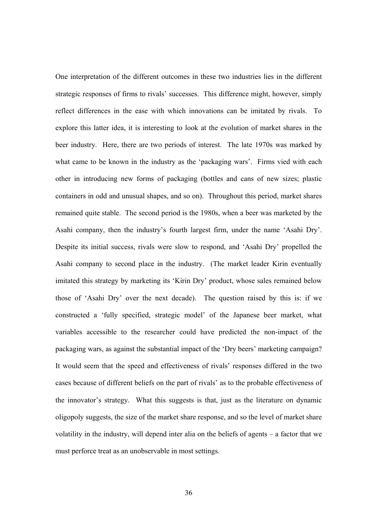strategic responses of firms to rivals' successes. This difference might, however, simply Despite its initial success, rivals were slow to respond, and 'Asahi Dry' propelled the Asahi company to second place in the industry. (The market leader Kirin eventually imitated this strategy by marketing its 'Kirin Dry' product, whose sales remained below those of 'Asahi Dry' over the next decade). The question raised by this is: if we constructed a 'fully specified, strategic model' of the Japanese beer market, what variables accessible to the researcher could have predicted the non-impact of the packaging wars, as against the substantial impact of the 'Dry beers' marketing campaign? It would seem that the speed and effectiveness of rivals' responses differed in the two cases because of different beliefs on the part of rivals' as to the probable effectiveness of the innovator's strategy. What this suggests is that, just as the literature on dynamic oligopoly suggests, the size of the market share response, and so the level of market share volatility in the industry, will depend inter alia on the beliefs of agents – a factor that we must perforce treat as an unobservable in most settings. One interpretation of the different outcomes in these two industries lies in the different reflect differences in the ease with which innovations can be imitated by rivals. To explore this latter idea, it is interesting to look at the evolution of market shares in the beer industry. Here, there are two periods of interest. The late 1970s was marked by what came to be known in the industry as the 'packaging wars'. Firms vied with each other in introducing new forms of packaging (bottles and cans of new sizes; plastic containers in odd and unusual shapes, and so on). Throughout this period, market shares remained quite stable. The second period is the 1980s, when a beer was marketed by the Asahi company, then the industry's fourth largest firm, under the name 'Asahi Dry'.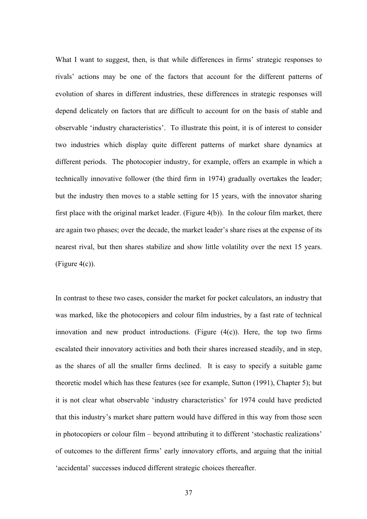What I want to suggest, then, is that while differences in firms' strategic responses to rivals' actions may be one of the factors that account for the different patterns of evolution of shares in different industries, these differences in strategic responses will depend delicately on factors that are difficult to account for on the basis of stable and observable 'industry characteristics'. To illustrate this point, it is of interest to consider two industries which display quite different patterns of market share dynamics at different periods. The photocopier industry, for example, offers an example in which a technically innovative follower (the third firm in 1974) gradually overtakes the leader; but the industry then moves to a stable setting for 15 years, with the innovator sharing first place with the original market leader. (Figure 4(b)). In the colour film market, there are again two phases; over the decade, the market leader's share rises at the expense of its nearest rival, but then shares stabilize and show little volatility over the next 15 years.  $(Figure 4(c))$ .

In contrast to these two cases, consider the market for pocket calculators, an industry that was marked, like the photocopiers and colour film industries, by a fast rate of technical escalated their innovatory activities and both their shares increased steadily, and in step, as the shares of all the smaller firms declined. It is easy to specify a suitable game innovation and new product introductions. (Figure  $(4(c))$ . Here, the top two firms theoretic model which has these features (see for example, Sutton (1991), Chapter 5); but it is not clear what observable 'industry characteristics' for 1974 could have predicted that this industry's market share pattern would have differed in this way from those seen in photocopiers or colour film – beyond attributing it to different 'stochastic realizations' of outcomes to the different firms' early innovatory efforts, and arguing that the initial 'accidental' successes induced different strategic choices thereafter.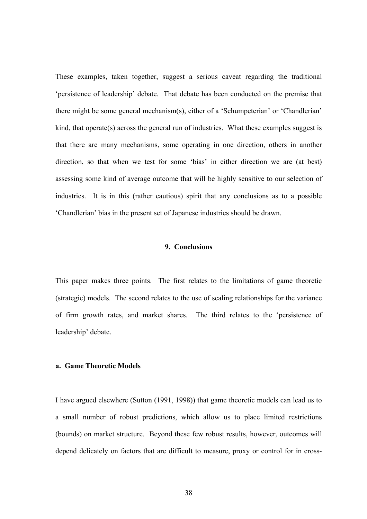These examples, taken together, suggest a serious caveat regarding the traditional 'persistence of leadership' debate. That debate has been conducted on the premise that there might be some general mechanism(s), either of a 'Schumpeterian' or 'Chandlerian' kind, that operate(s) across the general run of industries. What these examples suggest is that there are many mechanisms, some operating in one direction, others in another direction, so that when we test for some 'bias' in either direction we are (at best) assessing some kind of average outcome that will be highly sensitive to our selection of industries. It is in this (rather cautious) spirit that any conclusions as to a possible 'Chandlerian' bias in the present set of Japanese industries should be drawn.

#### **9. Conclusions**

This paper makes three points. The first relates to the limitations of game theoretic (strategic) models. The second relates to the use of scaling relationships for the variance of firm growth rates, and market shares. The third relates to the 'persistence of leadership' debate.

#### **a. Game Theoretic Models**

depend delicately on factors that are difficult to measure, proxy or control for in cross-I have argued elsewhere (Sutton (1991, 1998)) that game theoretic models can lead us to a small number of robust predictions, which allow us to place limited restrictions (bounds) on market structure. Beyond these few robust results, however, outcomes will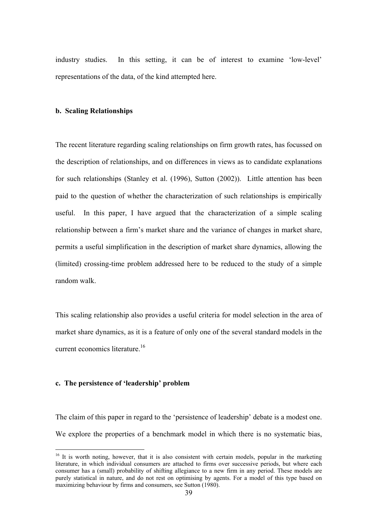industry studies. In this setting, it can be of interest to examine 'low-level' representations of the data, of the kind attempted here.

#### **b. Scaling Relationships**

(limited) crossing-time problem addressed here to be reduced to the study of a simple random walk. The recent literature regarding scaling relationships on firm growth rates, has focussed on the description of relationships, and on differences in views as to candidate explanations for such relationships (Stanley et al. (1996), Sutton (2002)). Little attention has been paid to the question of whether the characterization of such relationships is empirically useful. In this paper, I have argued that the characterization of a simple scaling relationship between a firm's market share and the variance of changes in market share, permits a useful simplification in the description of market share dynamics, allowing the

This scaling relationship also provides a useful criteria for model selection in the area of market share dynamics, as it is a feature of only one of the several standard models in the current economics literature.<sup>16</sup>

#### **c. The persistence of 'leadership' problem**

 $\overline{a}$ 

The claim of this paper in regard to the 'persistence of leadership' debate is a modest one. We explore the properties of a benchmark model in which there is no systematic bias,

 $16$  It is worth noting, however, that it is also consistent with certain models, popular in the marketing literature, in which individual consumers are attached to firms over successive p eriods, but where each consumer has a (small) probability of shifting allegiance to a new firm in any pe riod. These models are purely statistical in nature, and do not rest on optimising by agents. For a model of this type based on maximizing behaviour by firms and consumers, see Sutton (1980).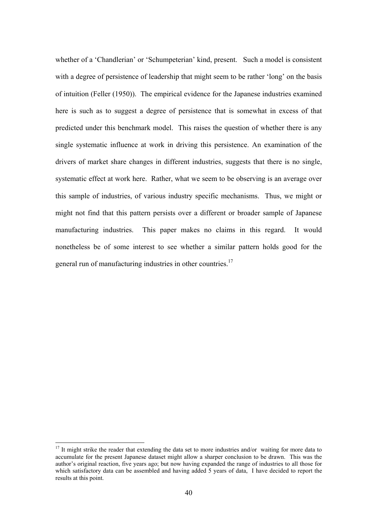whether of a 'Chandlerian' or 'Schumpeterian' kind, present. Such a model is consistent might not find that this pattern persists over a different or broader sample of Japanese manufacturing industries. This paper makes no claims in this regard. It would nonetheless be of some interest to see whether a similar pattern holds good for the general run of manufacturing industries in other countries.<sup>17</sup> with a degree of persistence of leadership that might seem to be rather 'long' on the basis of intuition (Feller (1950)). The empirical evidence for the Japanese industries examined here is such as to suggest a degree of persistence that is somewhat in excess of that predicted under this benchmark model. This raises the question of whether there is any single systematic influence at work in driving this persistence. An examination of the drivers of market share changes in different industries, suggests that there is no single, systematic effect at work here. Rather, what we seem to be observing is an average over this sample of industries, of various industry specific mechanisms. Thus, we might or

author's original reaction, five years ago; but now having expanded the range of industries to all those for which satisfactory data can be assembled and having added 5 years of data. I have decided to report the results at this point.  $17$  It might strike the reader that extending the data set to more industries and/or waiting for more data to accumulate for the present Japanese dataset might allow a sharper conclusion to be drawn. This was the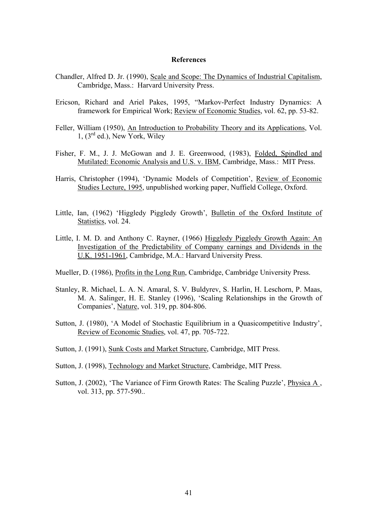#### **References**

- Chandler, Alfred D. Jr. (1990), Scale and Scope: The Dynamics of Industrial Capitalism, Cambridge, Mass.: Harvard University Press.
- Ericson, Richard and Ariel Pakes, 1995, "Markov-Perfect Industry Dynamics: A framework for Empirical Work; Review of Economic Studies, vol. 62, pp. 53-82.
- Feller, William (1950), An Introduction to Probability Theory and its Applications, Vol. 1, (3rd ed.), New York, Wiley
- Fisher, F. M., J. J. McGowan and J. E. Greenwood, (1983), Folded, Spindled and Mutilated: Economic Analysis and U.S. v. IBM, Cambridge, Mass.: MIT Press.
- Harris, Christopher (1994), 'Dynamic Models of Competition', Review of Economic Studies Lecture, 1995, unpublished working paper, Nuffield College, Oxford.
- Little, Ian, (1962) 'Higgledy Piggledy Growth', Bulletin of the Oxford Institute of Statistics, vol. 24.
- Little, I. M. D. and Anthony C. Rayner, (1966) Higgledy Piggledy Growth Again: An Investigation of the Predictability of Company earnings and Dividends in the U.K. 1951-1961, Cambridge, M.A.: Harvard University Press.
- Mueller, D. (1986), Profits in the Long Run, Cambridge, Cambridge University Press.
- Stanley, R. Michael, L. A. N. Amaral, S. V. Buldyrev, S. Harlin, H. Leschorn, P. Maas, M. A. Salinger, H. E. Stanley (1996), 'Scaling Relationships in the Growth of Companies', Nature, vol. 319, pp. 804-806.
- Sutton, J. (1980), 'A Model of Stochastic Equilibrium in a Quasicompetitive Industry', Review of Economic Studies, vol. 47, pp. 705-722.
- Sutton, J. (1991), Sunk Costs and Market Structure, Cambridge, MIT Press.
- Sutton, J. (1998), Technology and Market Structure, Cambridge, MIT Press.
- Sutton, J. (2002), 'The Variance of Firm Growth Rates: The Scaling Puzzle', Physica A , vol. 313, pp. 577-590..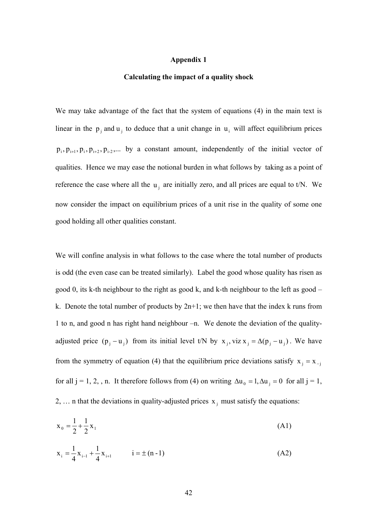#### **Appendix 1**

#### **Calculating the impact of a quality shock**

We may take advantage of the fact that the system of equations (4) in the main text is linear in the  $p_i$  and  $u_i$  to deduce that a unit change in  $u_i$  will affect equilibrium prices  $p_i, p_{i+1}, p_i, p_{i+2}, p_{i-2}, \ldots$  by a constant amount, independently of the initial vector of qualities. Hence we may ease the notional burden in what follows by taking as a point of reference the case where all the  $u_i$  are initially zero, and all prices are equal to t/N. We now consider the impact on equilibrium prices of a unit rise in the quality of some one good holding all other qualities constant.

We will confine analysis in what follows to the case where the total number of products is odd (the even case can be treated similarly). Label the good whose quality has risen as good 0, its k-th neighbour to the right as good k, and k-th neighbour to the left as good – k. Denote the total number of products by  $2n+1$ ; we then have that the index k runs from 1 to n, and good n has right hand neighbour –n. We denote the deviation of the qualityadjusted price  $(p_i - u_i)$  from its initial level t/N by  $x_i$ , viz  $x_i = \Delta(p_i - u_i)$ . We have from the symmetry of equation (4) that the equilibrium price deviations satisfy  $x_j = x_{-j}$ for all j = 1, 2, , n. It therefore follows from (4) on writing  $\Delta u_0 = 1, \Delta u_i = 0$  for all j = 1, 2, ... n that the deviations in quality-adjusted prices  $x_i$  must satisfy the equations:

$$
x_0 = \frac{1}{2} + \frac{1}{2}x_1
$$
 (A1)

$$
x_{i} = \frac{1}{4}x_{i-1} + \frac{1}{4}x_{i+1} \qquad i = \pm (n-1)
$$
 (A2)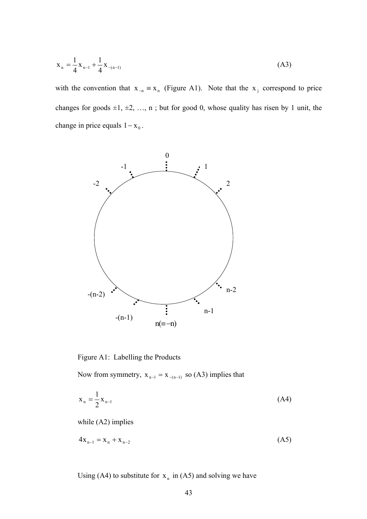$$
x_n = \frac{1}{4} x_{n-1} + \frac{1}{4} x_{-(n-1)}
$$
 (A3)

with the convention that  $x_{-n} \equiv x_n$  (Figure A1). Note that the  $x_j$  correspond to price changes for goods  $\pm 1, \pm 2, \ldots, n$ ; but for good 0, whose quality has risen by 1 unit, the change in price equals  $1 - x_0$ .



Figure A1: Labelling the Products

Now from symmetry,  $x_{n-1} = x_{-(n-1)}$  so (A3) implies that

$$
x_n = \frac{1}{2} x_{n-1}
$$
 (A4)

while (A2) implies

$$
4x_{n-1} = x_n + x_{n-2}
$$
 (A5)

Using (A4) to substitute for  $x_n$  in (A5) and solving we have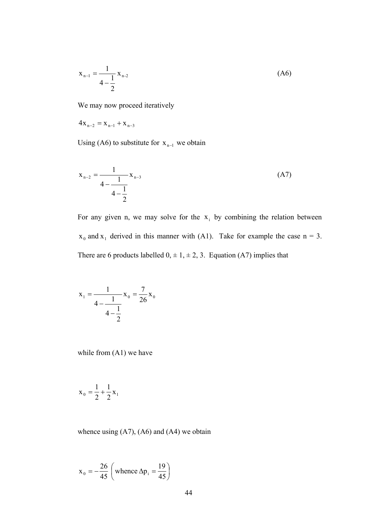$$
x_{n-1} = \frac{1}{4 - \frac{1}{2}} x_{n-2}
$$
 (A6)

We may now proceed iteratively

$$
4x_{n-2} = x_{n-1} + x_{n-3}
$$

Using (A6) to substitute for  $x_{n-1}$  we obtain

$$
x_{n-2} = \frac{1}{4 - \frac{1}{4 - \frac{1}{2}}} x_{n-3}
$$
 (A7)

For any given n, we may solve for the  $x_i$  by combining the relation between  $x_0$  and  $x_1$  derived in this manner with (A1). Take for example the case  $n = 3$ . There are 6 products labelled  $0, \pm 1, \pm 2, 3$ . Equation (A7) implies that

$$
x_1 = \frac{1}{4 - \frac{1}{4 - \frac{1}{2}}} x_0 = \frac{7}{26} x_0
$$

while from (A1) we have

$$
x_0 = \frac{1}{2} + \frac{1}{2}x_1
$$

whence using  $(A7)$ ,  $(A6)$  and  $(A4)$  we obtain

$$
x_0 = -\frac{26}{45} \left( \text{whence } \Delta p_i = \frac{19}{45} \right)
$$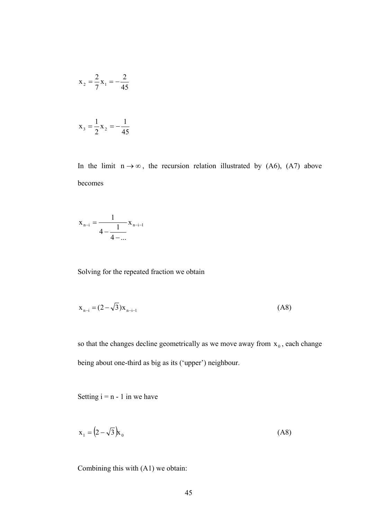$$
x_2 = \frac{2}{7}x_1 = -\frac{2}{45}
$$

$$
x_3 = \frac{1}{2}x_2 = -\frac{1}{45}
$$

In the limit  $n \rightarrow \infty$ , the recursion relation illustrated by (A6), (A7) above beco mes

$$
x_{n-i} = \frac{1}{4 - \frac{1}{4 - \dots}} x_{n-i-1}
$$

Solving for the repeated fraction we obtain

$$
x_{n-i} = (2 - \sqrt{3})x_{n-i-1}
$$
 (A8)

so that the changes decline geometrically as we move away from  $x_0$ , each change being about one-third as big as its ('upper') neighbour.

Setting  $i = n - 1$  in we have

$$
\mathbf{x}_1 = \left(2 - \sqrt{3}\right)\mathbf{k}_0\tag{A8}
$$

Combining this with  $(A1)$  we obtain: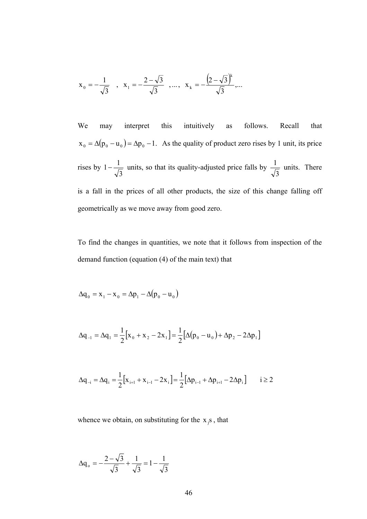$$
x_0 = -\frac{1}{\sqrt{3}}
$$
,  $x_1 = -\frac{2-\sqrt{3}}{\sqrt{3}}$ , ...,  $x_k = -\frac{(2-\sqrt{3})^k}{\sqrt{3}}$ ,...

We may interpret this intuitively as follows. Recall that  $x_0 = \Delta(p_0 - u_0) = \Delta p_0 - 1$ . As the quality of product zero rises by 1 unit, its price rises by 1 -  $\frac{1}{\sqrt{3}}$  units, so that its quality-adjusted price falls by  $\frac{1}{\sqrt{3}}$  units. There is a fall in the prices of all other products, the size of this change falling off geometrically as we move away from good zero.

To find the changes in quantities, we note that it follows from inspection of the demand function (equation (4) of the main text) that

$$
\Delta q_0 = x_1 - x_0 = \Delta p_1 - \Delta (p_0 - u_0)
$$

$$
\Delta q_{-1} = \Delta q_1 = \frac{1}{2} \Big[ x_0 + x_2 - 2x_1 \Big] = \frac{1}{2} \Big[ \Delta (p_0 - u_0) + \Delta p_2 - 2\Delta p_1 \Big]
$$

$$
\Delta q_{-i} = \Delta q_i = \frac{1}{2} \Big[ x_{i+1} + x_{i-1} - 2x_i \Big] = \frac{1}{2} \Big[ \Delta p_{i-1} + \Delta p_{i+1} - 2\Delta p_i \Big] \qquad i \ge 2
$$

whence we obtain, on substituting for the  $x_i$ s, that

$$
\Delta q_o = -\frac{2 - \sqrt{3}}{\sqrt{3}} + \frac{1}{\sqrt{3}} = 1 - \frac{1}{\sqrt{3}}
$$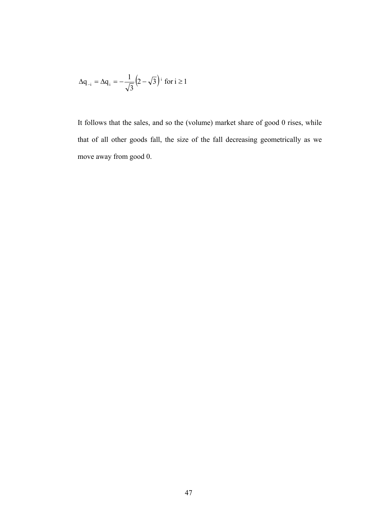$$
\Delta q_{-i} = \Delta q_i = -\frac{1}{\sqrt{3}} \left(2 - \sqrt{3}\right)^i \text{ for } i \ge 1
$$

It follows that the sales, and so the (volume) market share of good 0 rises, while that of all other goods fall, the size of the fall decreasing geometrically as we move away from good 0.